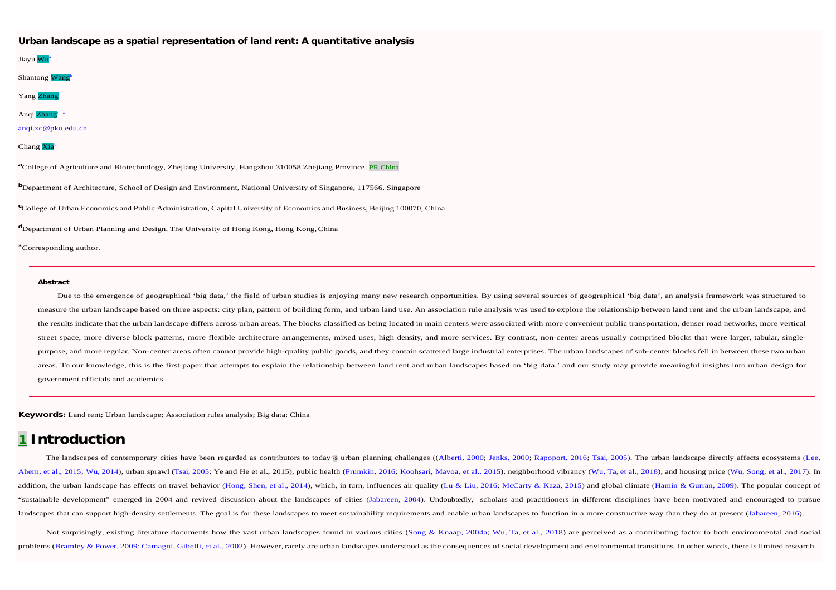### **Urban landscape as a spatial representation of land rent: A quantitative analysis**

Jiavu Wu Shantong<sup>V</sup> Yang Zhan Angi Zhang [anqi.xc@pku.edu.cn](mailto:anqi.xc@pku.edu.cn) Chang Xia **a** College of Agriculture and Biotechnology, Zhejiang University, Hangzhou 310058 Zhejiang Province, PR China **<sup>b</sup>**Department of Architecture, School of Design and Environment, National University of Singapore, 117566, Singapore **c** College of Urban Economics and Public Administration, Capital University of Economics and Business, Beijing 100070, China **<sup>d</sup>**Department of Urban Planning and Design, The University of Hong Kong, Hong Kong,China **⁎** Corresponding author.

#### **Abstract**

Due to the emergence of geographical 'big data,' the field of urban studies is enjoying many new research opportunities. By using several sources of geographical 'big data', an analysis framework was structured to measure the urban landscape based on three aspects: city plan, pattern of building form, and urban land use. An association rule analysis was used to explore the relationship between land rent and the urban landscape, and the results indicate that the urban landscape differs across urban areas. The blocks classified as being located in main centers were associated with more convenient public transportation, denser road networks, more vertical street space, more diverse block patterns, more flexible architecture arrangements, mixed uses, high density, and more services. By contrast, non-center areas usually comprised blocks that were larger, tabular, singlepurpose, and more regular. Non-center areas often cannot provide high-quality public goods, and they contain scattered large industrial enterprises. The urban landscapes of sub-center blocks fell in between these two urban areas. To our knowledge, this is the first paper that attempts to explain the relationship between land rent and urban landscapes based on 'big data,' and our study may provide meaningful insights into urban design for government officials and academics.

**Keywords:** Land rent; Urban landscape; Association rules analysis; Big data; China

## **1 Introduction**

The landscapes of contemporary cities have been regarded as contributors to today''s urban planning challenges ((Alberti, 2000; Jenks, 2000; Rapoport, 2016; Tsai, 2005). The urban landscape directly affects ecosystems (Lee Ahern, et al., 2015; Wu, 2014), urban sprawl (Tsai, 2005; Ye and He et al., 2015), public health (Frumkin, 2016; Koohsari, Mavoa, et al., 2015), neighborhood vibrancy (Wu, Ta, et al., 2018), and housing price (Wu, Song, et addition, the urban landscape has effects on travel behavior (Hong, Shen, et al., 2014), which, in turn, influences air quality (Lu & Liu, 2016; McCarty & Kaza, 2015) and global climate (Hamin & Gurran, 2009). The popular "sustainable development" emerged in 2004 and revived discussion about the landscapes of cities (Jabareen, 2004). Undoubtedly, scholars and practitioners in different disciplines have been motivated and encouraged to pursu landscapes that can support high-density settlements. The goal is for these landscapes to meet sustainability requirements and enable urban landscapes to function in a more constructive way than they do at present (Jabaree

Not surprisingly, existing literature documents how the vast urban landscapes found in various cities (Song & Knaap, 2004a; Wu, Ta, et al., 2018) are perceived as a contributing factor to both environmental and social problems (Bramley & Power, 2009; Camagni, Gibelli, et al., 2002). However, rarely are urban landscapes understood as the consequences of social development and environmental transitions. In other words, there is limited re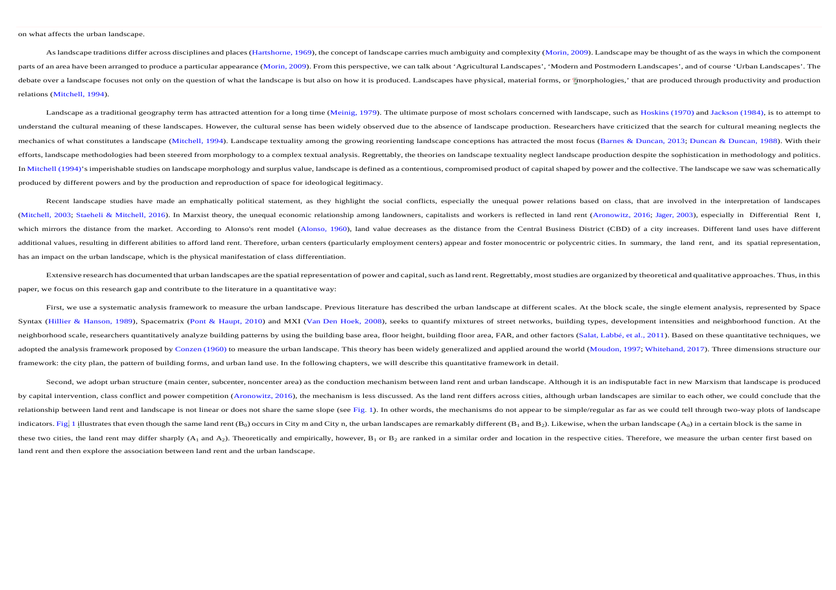#### on what affects the urban landscape.

As landscape traditions differ across disciplines and places (Hartshorne, 1969), the concept of landscape carries much ambiguity and complexity (Morin, 2009). Landscape may be thought of as the ways in which the component parts of an area have been arranged to produce a particular appearance (Morin, 2009). From this perspective, we can talk about 'Agricultural Landscapes', 'Modern and Postmodern Landscapes', and of course 'Urban Landscapes' debate over a landscape focuses not only on the question of what the landscape is but also on how it is produced. Landscapes have physical, material forms, or "morphologies,' that are produced through productivity and prod relations (Mitchell, 1994).

Landscape as a traditional geography term has attracted attention for a long time (Meinig, 1979). The ultimate purpose of most scholars concerned with landscape, such as Hoskins (1970) and Jackson (1984), is to attempt to understand the cultural meaning of these landscapes. However, the cultural sense has been widely observed due to the absence of landscape production. Researchers have criticized that the search for cultural meaning neglect mechanics of what constitutes a landscape (Mitchell, 1994). Landscape textuality among the growing reorienting landscape conceptions has attracted the most focus (Barnes & Duncan, 2013; Duncan & Duncan, 1988). With their efforts, landscape methodologies had been steered from morphology to a complex textual analysis. Regrettably, the theories on landscape textuality neglect landscape production despite the sophistication in methodology and In Mitchell (1994)'s imperishable studies on landscape morphology and surplus value, landscape is defined as a contentious, compromised product of capital shaped by power and the collective. The landscape we saw was schema produced by different powers and by the production and reproduction of space for ideological legitimacy.

Recent landscape studies have made an emphatically political statement, as they highlight the social conflicts, especially the unequal power relations based on class, that are involved in the interpretation of landscapes (Mitchell, 2003; Staeheli & Mitchell, 2016). In Marxist theory, the unequal economic relationship among landowners, capitalists and workers is reflected in land rent (Aronowitz, 2016; Jäger, 2003), especially in Differenti which mirrors the distance from the market. According to Alonso's rent model (Alonso, 1960), land value decreases as the distance from the Central Business District (CBD) of a city increases. Different land uses have diffe additional values, resulting in different abilities to afford land rent. Therefore, urban centers (particularly employment centers) appear and foster monocentric or polycentric cities. In summary, the land rent, and its sp has an impact on the urban landscape, which is the physical manifestation of class differentiation.

Extensive research has documented that urban landscapes are the spatial representation of power and capital, such as land rent. Regrettably, most studies are organized by theoretical and qualitative approaches. Thus, in th paper, we focus on this research gap and contribute to the literature in a quantitative way:

First, we use a systematic analysis framework to measure the urban landscape. Previous literature has described the urban landscape at different scales. At the block scale, the single element analysis, represented by Space Syntax (Hillier & Hanson, 1989), Spacematrix (Pont & Haupt, 2010) and MXI (Van Den Hoek, 2008), seeks to quantify mixtures of street networks, building types, development intensities and neighborhood function. At the neighborhood scale, researchers quantitatively analyze building patterns by using the building base area, floor height, building floor area, FAR, and other factors (Salat, Labbé, et al., 2011). Based on these quantitative adopted the analysis framework proposed by Conzen (1960) to measure the urban landscape. This theory has been widely generalized and applied around the world (Moudon, 1997; Whitehand, 2017). Three dimensions structure our framework: the city plan, the pattern of building forms, and urban land use. In the following chapters, we will describe this quantitative framework in detail.

Second, we adopt urban structure (main center, subcenter, noncenter area) as the conduction mechanism between land rent and urban landscape. Although it is an indisputable fact in new Marxism that landscape is produced by capital intervention, class conflict and power competition (Aronowitz, 2016), the mechanism is less discussed. As the land rent differs across cities, although urban landscapes are similar to each other, we could conclu relationship between land rent and landscape is not linear or does not share the same slope (see Fig. 1). In other words, the mechanisms do not appear to be simple/regular as far as we could tell through two-way plots of l indicators. Fig. 1 illustrates that even though the same land rent  $(B_0)$  occurs in City m and City n, the urban landscapes are remarkably different  $(B_1$  and  $B_2)$ . Likewise, when the urban landscape  $(A_0)$  in a certain these two cities, the land rent may differ sharply  $(A_1$  and  $A_2$ ). Theoretically and empirically, however,  $B_1$  or  $B_2$  are ranked in a similar order and location in the respective cities. Therefore, we measure the ur land rent and then explore the association between land rent and the urban landscape.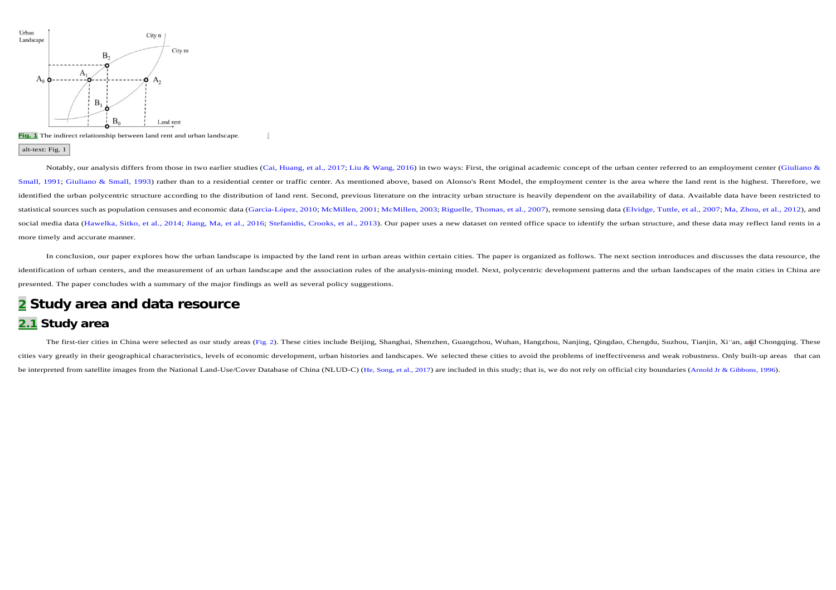

#### alt-text: Fig. 1

Notably, our analysis differs from those in two earlier studies (Cai, Huang, et al., 2017; Liu & Wang, 2016) in two ways: First, the original academic concept of the urban center referred to an employment center (Giuliano Small, 1991; Giuliano & Small, 1993) rather than to a residential center or traffic center. As mentioned above, based on Alonso's Rent Model, the employment center is the area where the land rent is the highest. Therefore, identified the urban polycentric structure according to the distribution of land rent. Second, previous literature on the intracity urban structure is heavily dependent on the availability of data. Available data have been statistical sources such as population censuses and economic data (Garcia-López, 2010; McMillen, 2001; McMillen, 2003; Riguelle, Thomas, et al., 2007), remote sensing data (Elvidge, Tuttle, et al., 2007; Ma, Zhou, et al., social media data (Hawelka, Sitko, et al., 2014; Jiang, Ma, et al., 2016; Stefanidis, Crooks, et al., 2013). Our paper uses a new dataset on rented office space to identify the urban structure, and these data may reflect l more timely and accurate manner.

In conclusion, our paper explores how the urban landscape is impacted by the land rent in urban areas within certain cities. The paper is organized as follows. The next section introduces and discusses the data resource, the identification of urban centers, and the measurement of an urban landscape and the association rules of the analysis-mining model. Next, polycentric development patterns and the urban landscapes of the main cities in China presented. The paper concludes with a summary of the major findings as well as several policy suggestions.

## **2 Study area and data resource**

## **2.1 Study area**

The first-tier cities in China were selected as our study areas (Fig. 2). These cities include Beijing, Shanghai, Shanghai, Shenzhen, Guangzhou, Wuhan, Hangzhou, Nanjing, Qingdao, Chengdu, Suzhou, Tianjin, Xi''an, and Chon cities vary greatly in their geographical characteristics, levels of economic development, urban histories and landscapes. We selected these cities to avoid the problems of ineffectiveness and weak robustness. Only built-u be interpreted from satellite images from the National Land-Use/Cover Database of China (NLUD-C) (He, Song, et al., 2017) are included in this study; that is, we do not rely on official city boundaries (Arnold Jr & Gibbons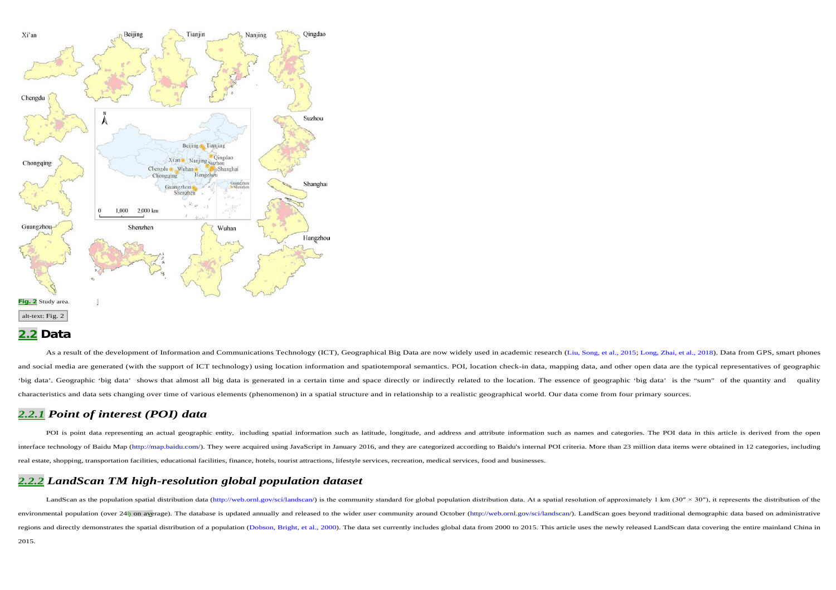

As a result of the development of Information and Communications Technology (ICT), Geographical Big Data are now widely used in academic research (Liu, Song, et al., 2015; Long, Zhai, et al., 2018). Data from GPS, smart ph and social media are generated (with the support of ICT technology) using location information and spatiotemporal semantics. POI, location check-in data, mapping data, and other open data are the typical representatives of 'big data'. Geographic 'big data' shows that almost all big data is generated in a certain time and space directly or indirectly related to the location. The essence of geographic 'big data' is the "sum" of the quantity an characteristics and data sets changing over time of various elements (phenomenon) in a spatial structure and in relationship to a realistic geographical world. Our data come from four primary sources.

### *2.2.1 Point of interest (POI) data*

POI is point data representing an actual geographic entity, including spatial information such as latitude, longitude, and address and attribute information such as names and categories. The POI data in this article is der interface technology of Baidu Map [\(http://map.baidu.com/\). T](http://map.baidu.com/))hey were acquired using JavaScript in January 2016, and they are categorized according to Baidu's internal POI criteria. More than 23 million data items were obta real estate, shopping, transportation facilities, educational facilities, finance, hotels, tourist attractions, lifestyle services, recreation, medical services, food and businesses.

### *2.2.2 LandScan TM high-resolution global population dataset*

LandScan as the population spatial distribution data [\(http://web.ornl.gov/sci/landscan/\)](http://web.ornl.gov/sci/landscan/)) is the community standard for global population distribution data. At a spatial resolution of approximately 1 km  $(30'' \times 30'')$ , it r environmental population (over 24h on average). The database is updated annually and released to the wider user community around October [\(http://web.ornl.gov/sci/landscan/\).](http://web.ornl.gov/sci/landscan/)) LandScan goes beyond traditional demographic dat regions and directly demonstrates the spatial distribution of a population (Dobson, Bright, et al., 2000). The data set currently includes global data from 2000 to 2015. This article uses the newly released LandScan data c 2015.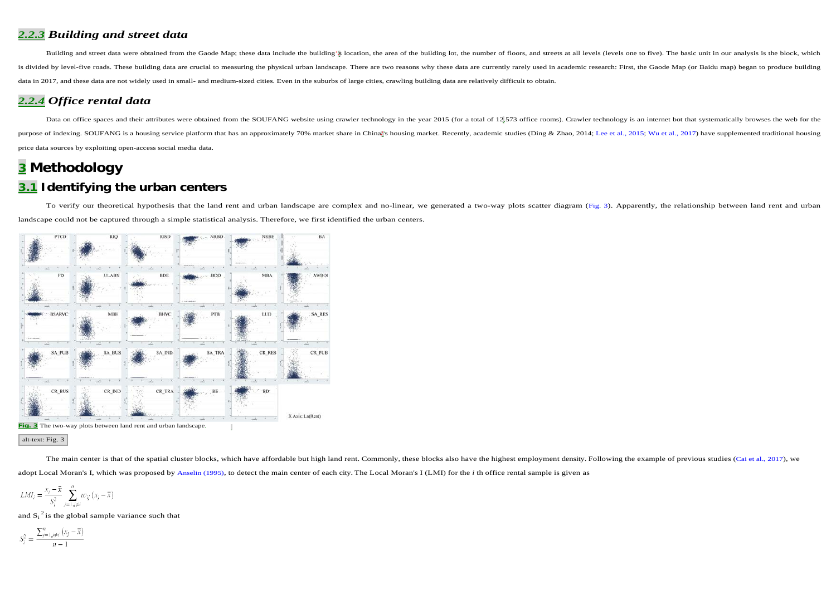### *2.2.3 Building and street data*

Building and street data were obtained from the Gaode Map; these data include the building's location, the area of the building lot, the number of floors, and streets at all levels (levels one to five). The basic unit in o is divided by level-five roads. These building data are crucial to measuring the physical urban landscape. There are two reasons why these data are currently rarely used in academic research: First, the Gaode Map (or Baidu data in 2017, and these data are not widely used in small- and medium-sized cities. Even in the suburbs of large cities, crawling building data are relatively difficult to obtain.

## *2.2.4 Office rental data*

Data on office spaces and their attributes were obtained from the SOUFANG website using crawler technology in the year 2015 (for a total of 12,573 office rooms). Crawler technology is an internet bot that systematically br purpose of indexing. SOUFANG is a housing service platform that has an approximately 70% market share in China"s housing market. Recently, academic studies (Ding & Zhao, 2014; Lee et al., 2015; Wu et al., 2017) have supple price data sources by exploiting open-access social media data.

# **3 Methodology 3.1 Identifying the urban centers**

To verify our theoretical hypothesis that the land rent and urban landscape are complex and no-linear, we generated a two-way plots scatter diagram (Fig. 3). Apparently, the relationship between land rent and urban landscape could not be captured through a simple statistical analysis. Therefore, we first identified the urban centers.



alt-text: Fig. 3

The main center is that of the spatial cluster blocks, which have affordable but high land rent. Commonly, these blocks also have the highest employment density. Following the example of previous studies (Cai et al., 2017) adopt Local Moran's I, which was proposed by Anselin (1995), to detect the main center of each city. The Local Moran's I (LMI) for the *i* th office rental sample is given as

$$
LMI_i = \frac{x_i - \overline{x}}{S_i^2} \sum_{j=1, j \neq i}^{n} w_{ij} (x_j - \overline{x})
$$

and  $S_i^2$  is the global sample variance such that

$$
S_i^2 = \frac{\sum_{j=1, j\neq i}^{n} (x_j - \overline{x})}{n-1}
$$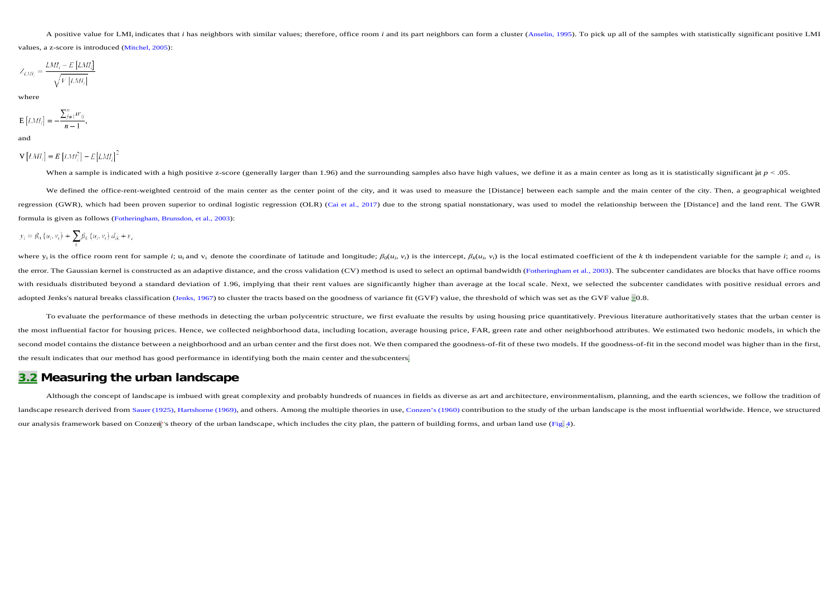A positive value for LMI; indicates that *i* has neighbors with similar values; therefore, office room *i* and its part neighbors can form a cluster (Anselin, 1995). To pick up all of the samples with statistically signifi

#### values, a z-score is introduced (Mitchel, 2005):

$$
Z_{LMI_i} = \frac{LMI_i - E\left[LMI_i\right]}{\sqrt{V\left[LMI_i\right]}}
$$

where

$$
\mathbf{E}\left[LMI_i\right] = -\frac{\sum_{j\neq 1}^n uv_{ij}}{n-1},
$$

and

## $V[LM] = E[LM]^{2} - E[LM]^{2}$

When a sample is indicated with a high positive z-score (generally larger than 1.96) and the surrounding samples also have high values, we define it as a main center as long as it is statistically significant at  $p < 0.05$ 

We defined the office-rent-weighted centroid of the main center as the center point of the city, and it was used to measure the [Distance] between each sample and the main center of the city. Then, a geographical weighted regression (GWR), which had been proven superior to ordinal logistic regression (OLR) (Cai et al., 2017) due to the strong spatial nonstationary, was used to model the relationship between the [Distance] and the land rent. formula is given as follows (Fotheringham, Brunsdon, et al., 2003):

$$
y_i = \beta_0 \left( u_i, v_i \right) + \sum_k \beta_k \left( u_i, v_i \right) d_{ik} + \epsilon_i
$$

where  $y_i$  is the office room rent for sample i; u<sub>i</sub> and  $y_i$  denote the coordinate of latitude and longitude;  $\beta_0(u_i, v_i)$  is the intercept,  $\beta_k(u_i, v_i)$  is the local estimated coefficient of the k th independent variabl the error. The Gaussian kernel is constructed as an adaptive distance, and the cross validation (CV) method is used to select an optimal bandwidth (Fotheringham et al., 2003). The subcenter candidates are blocks that have with residuals distributed beyond a standard deviation of 1.96, implying that their rent values are significantly higher than average at the local scale. Next, we selected the subcenter candidates with positive residual er adopted Jenks's natural breaks classification (Jenks, 1967) to cluster the tracts based on the goodness of variance fit (GVF) value, the threshold of which was set as the GVF value  $>0.8$ .

To evaluate the performance of these methods in detecting the urban polycentric structure, we first evaluate the results by using housing price quantitatively. Previous literature authoritatively states that the urban cent the most influential factor for housing prices. Hence, we collected neighborhood data, including location, average housing price, FAR, green rate and other neighborhood attributes. We estimated two hedonic models, in which second model contains the distance between a neighborhood and an urban center and the first does not. We then compared the goodness-of-fit of these two models. If the goodness-of-fit in the second model was higher than in the result indicates that our method has good performance in identifying both the main center and thesubcenters.

### **3.2 Measuring the urban landscape**

Although the concept of landscape is imbued with great complexity and probably hundreds of nuances in fields as diverse as art and architecture, environmentalism, planning, and the earth sciences, we follow the tradition o landscape research derived from Sauer (1925), Hartshorne (1969), and others. Among the multiple theories in use, Conzen's (1960) contribution to the study of the urban landscape is the most influential worldwide. Hence, we our analysis framework based on Conzen''s theory of the urban landscape, which includes the city plan, the pattern of building forms, and urban land use (Fig. 4).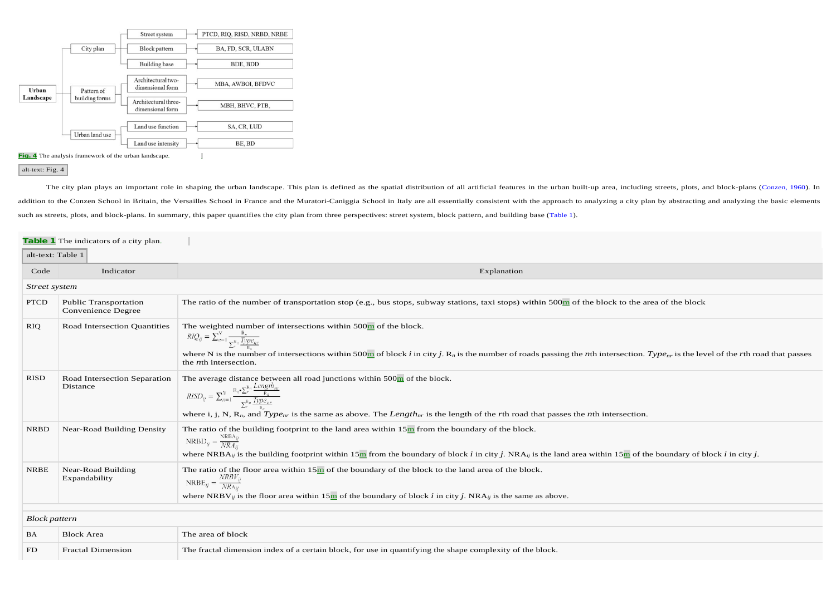

Fig. 4 The analysis framework of the urban landscape.

alt-text: Fig. 4

The city plan plays an important role in shaping the urban landscape. This plan is defined as the spatial distribution of all artificial features in the urban built-up area, including streets, plots, and block-plans (Conze addition to the Conzen School in Britain, the Versailles School in France and the Muratori-Caniggia School in Italy are all essentially consistent with the approach to analyzing a city plan by abstracting and analyzing the such as streets, plots, and block-plans. In summary, this paper quantifies the city plan from three perspectives: street system, block pattern, and building base (Table 1).

| <b>Table 1</b> The indicators of a city plan. |                                                    |                                                                                                                                                                                                                                                                                                                                                                                                 |  |  |
|-----------------------------------------------|----------------------------------------------------|-------------------------------------------------------------------------------------------------------------------------------------------------------------------------------------------------------------------------------------------------------------------------------------------------------------------------------------------------------------------------------------------------|--|--|
| alt-text: Table 1                             |                                                    |                                                                                                                                                                                                                                                                                                                                                                                                 |  |  |
| Code                                          | Indicator                                          | Explanation                                                                                                                                                                                                                                                                                                                                                                                     |  |  |
| Street system                                 |                                                    |                                                                                                                                                                                                                                                                                                                                                                                                 |  |  |
| <b>PTCD</b>                                   | <b>Public Transportation</b><br>Convenience Degree | The ratio of the number of transportation stop (e.g., bus stops, subway stations, taxi stops) within 500 $m$ of the block to the area of the block                                                                                                                                                                                                                                              |  |  |
| <b>RIQ</b>                                    | Road Intersection Quantities                       | The weighted number of intersections within $500m$ of the block.<br>$R I Q_{ij} = \sum_{n=1}^{N} \frac{R_n}{\sqrt{R_n} \mathit{Type}_{nr}}$<br>where N is the number of intersections within 500m of block i in city j. $R_n$ is the number of roads passing the <i>n</i> th intersection. Type <sub>nr</sub> is the level of the <i>r</i> th road that passes<br>the <i>n</i> th intersection. |  |  |
| <b>RISD</b>                                   | Road Intersection Separation<br>Distance           | The average distance between all road junctions within $500m$ of the block.<br>$RISD_{ij} = \sum_{n=1}^{N} \frac{R_n \cdot \sum_{r}^{R_n} \frac{Length_{nr}}{R_n}}{\frac{R_n}{R_n}}$<br>where i, j, N, R <sub>n</sub> , and $Type_{nr}$ is the same as above. The Length <sub>n</sub> is the length of the rth road that passes the <i>n</i> th intersection.                                   |  |  |
| <b>NRBD</b>                                   | Near-Road Building Density                         | The ratio of the building footprint to the land area within $15m$ from the boundary of the block.<br>$NRBD_{ij} = \frac{u}{NRA_{ii}}$<br>where NRBA <sub>ij</sub> is the building footprint within 15m from the boundary of block <i>i</i> in city <i>j</i> . NRA <sub>ij</sub> is the land area within 15m of the boundary of block <i>i</i> in city <i>j</i> .                                |  |  |
| NRBE                                          | Near-Road Building<br>Expandability                | The ratio of the floor area within $15m$ of the boundary of the block to the land area of the block.<br>$NRBV_{ii}$<br>$NRBE_{ij} = \frac{1}{NRA_{ii}}$<br>where NRBV <sub>ii</sub> is the floor area within 15m of the boundary of block <i>i</i> in city <i>j</i> . NRA <sub>ii</sub> is the same as above.                                                                                   |  |  |
| <b>Block</b> pattern                          |                                                    |                                                                                                                                                                                                                                                                                                                                                                                                 |  |  |
| BA                                            | <b>Block Area</b>                                  | The area of block                                                                                                                                                                                                                                                                                                                                                                               |  |  |
| FD                                            | <b>Fractal Dimension</b>                           | The fractal dimension index of a certain block, for use in quantifying the shape complexity of the block.                                                                                                                                                                                                                                                                                       |  |  |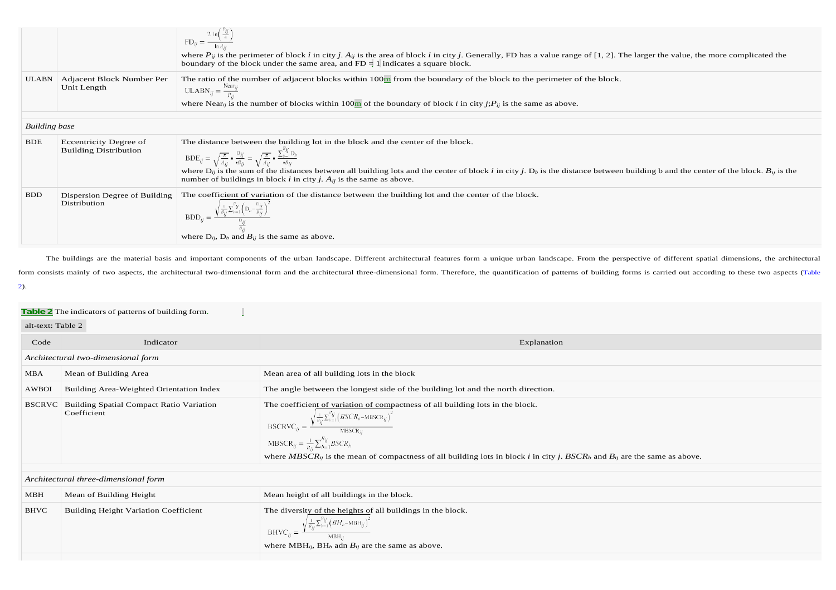|                      |                                                        | $FD_{ij} = \frac{2 \ln \left( \frac{y}{4} \right)}{\ln A_{ii}}$<br>where $P_{ij}$ is the perimeter of block i in city j. $A_{ij}$ is the area of block i in city j. Generally, FD has a value range of [1, 2]. The larger the value, the more complicated the<br>boundary of the block under the same area, and $FD = 1$ indicates a square block.                                                                                                                                                            |
|----------------------|--------------------------------------------------------|---------------------------------------------------------------------------------------------------------------------------------------------------------------------------------------------------------------------------------------------------------------------------------------------------------------------------------------------------------------------------------------------------------------------------------------------------------------------------------------------------------------|
| ULABN                | Adjacent Block Number Per<br>Unit Length               | The ratio of the number of adjacent blocks within $100m$ from the boundary of the block to the perimeter of the block.<br>ULABN <sub>ij</sub> = $\frac{\text{Near}_{ij}}{P_{ii}}$<br>where Near <sub>ij</sub> is the number of blocks within 100m of the boundary of block <i>i</i> in city $j_i P_{ii}$ is the same as above.                                                                                                                                                                                |
| <b>Building base</b> |                                                        |                                                                                                                                                                                                                                                                                                                                                                                                                                                                                                               |
|                      |                                                        |                                                                                                                                                                                                                                                                                                                                                                                                                                                                                                               |
| <b>BDE</b>           | Eccentricity Degree of<br><b>Building Distribution</b> | The distance between the building lot in the block and the center of the block.<br>$BDE_{ij} = \sqrt{\frac{\pi}{A_{ii}}} \cdot \frac{D_{ij}}{B_{ii}} = \sqrt{\frac{\pi}{A_{ii}}} \cdot \frac{\sum_{b=1}^{n_{ij}} D_b}{B_{ii}}$<br>where $D_{ij}$ is the sum of the distances between all building lots and the center of block i in city j. $D_b$ is the distance between building b and the center of the block. $B_{ij}$ is the<br>number of buildings in block i in city j. $A_{ii}$ is the same as above. |
| <b>BDD</b>           | Dispersion Degree of Building<br>Distribution          | The coefficient of variation of the distance between the building lot and the center of the block.<br>$\text{BDD}_{ij} = \frac{\sqrt{\frac{1}{B_{ij}}\Sigma_{b=1}^{''ij}\left(D_b - \frac{D_{ij}}{B_{ij}}\right)}}{\Gamma}$<br>where $D_{ij}$ , $D_b$ and $B_{ij}$ is the same as above.                                                                                                                                                                                                                      |

The buildings are the material basis and important components of the urban landscape. Different architectural features form a unique urban landscape. From the perspective of different spatial dimensions, the architectural

form consists mainly of two aspects, the architectural two-dimensional form and the architectural three-dimensional form. Therefore, the quantification of patterns of building forms is carried out according to these two as

2).

|                   | Table 2 The indicators of patterns of building form.           |                                                                                                                                                                                                                                                                                                                                                                                                                                     |  |  |
|-------------------|----------------------------------------------------------------|-------------------------------------------------------------------------------------------------------------------------------------------------------------------------------------------------------------------------------------------------------------------------------------------------------------------------------------------------------------------------------------------------------------------------------------|--|--|
| alt-text: Table 2 |                                                                |                                                                                                                                                                                                                                                                                                                                                                                                                                     |  |  |
| Code              | Indicator                                                      | Explanation                                                                                                                                                                                                                                                                                                                                                                                                                         |  |  |
|                   | Architectural two-dimensional form                             |                                                                                                                                                                                                                                                                                                                                                                                                                                     |  |  |
| MBA               | Mean of Building Area                                          | Mean area of all building lots in the block                                                                                                                                                                                                                                                                                                                                                                                         |  |  |
| <b>AWBOI</b>      | Building Area-Weighted Orientation Index                       | The angle between the longest side of the building lot and the north direction.                                                                                                                                                                                                                                                                                                                                                     |  |  |
| <b>BSCRVC</b>     | <b>Building Spatial Compact Ratio Variation</b><br>Coefficient | The coefficient of variation of compactness of all building lots in the block.<br>$\text{BSCRVC}_{ij} = \frac{\sqrt{\frac{1}{B_{ij}}\sum_{b=1}^{B_{ij}} (BSCR_b - \text{MBSCR}_{ij})^2}}{\text{MBSCR}_{ij}}$<br>$MBSCR_{ij} = \frac{1}{B_{ij}} \sum_{b=1}^{B_{ij}} BSCR_b$<br>where MBSCR <sub>ii</sub> is the mean of compactness of all building lots in block i in city j. BSCR <sub>b</sub> and $B_{ij}$ are the same as above. |  |  |
|                   | Architectural three-dimensional form                           |                                                                                                                                                                                                                                                                                                                                                                                                                                     |  |  |
| <b>MBH</b>        | Mean of Building Height                                        | Mean height of all buildings in the block.                                                                                                                                                                                                                                                                                                                                                                                          |  |  |
| <b>BHVC</b>       | <b>Building Height Variation Coefficient</b>                   | The diversity of the heights of all buildings in the block.<br><b>BHVC</b> <sub>ij</sub> = $\frac{\sqrt{\frac{1}{B_{ij}}\sum_{b=1}^{B_{ij}}(BH_b - MBH_{ij})^2}}{BHVC_{ij}}$<br>where $MBH_{ij}$ , $BH_b$ adn $B_{ij}$ are the same as above.                                                                                                                                                                                       |  |  |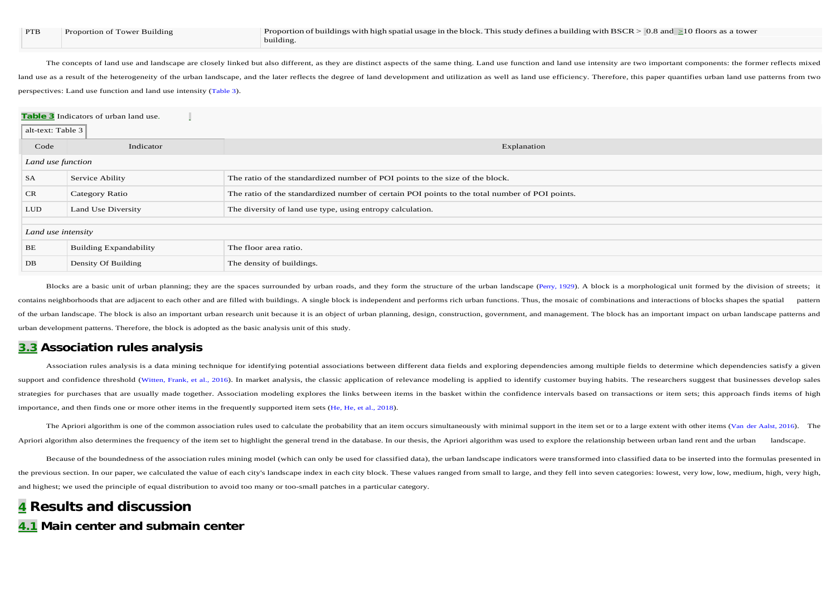| PTB | Proportion of Tower Building | Proportion of buildings with high spatial usage in the block. This study defines a building with $BSCR > 0.8$ and $>10$ floors as a tower |
|-----|------------------------------|-------------------------------------------------------------------------------------------------------------------------------------------|
|     |                              | building                                                                                                                                  |

The concepts of land use and landscape are closely linked but also different, as they are distinct aspects of the same thing. Land use function and land use intensity are two important components: the former reflects mixed land use as a result of the heterogeneity of the urban landscape, and the later reflects the degree of land development and utilization as well as land use efficiency. Therefore, this paper quantifies urban land use patter perspectives: Land use function and land use intensity (Table 3).

| Table 3 Indicators of urban land use. |                        |                                                                                               |  |  |  |  |
|---------------------------------------|------------------------|-----------------------------------------------------------------------------------------------|--|--|--|--|
|                                       | alt-text: Table 3      |                                                                                               |  |  |  |  |
| Code                                  | Indicator              | Explanation                                                                                   |  |  |  |  |
| Land use function                     |                        |                                                                                               |  |  |  |  |
| <b>SA</b>                             | Service Ability        | The ratio of the standardized number of POI points to the size of the block.                  |  |  |  |  |
| CR                                    | Category Ratio         | The ratio of the standardized number of certain POI points to the total number of POI points. |  |  |  |  |
| <b>LUD</b>                            | Land Use Diversity     | The diversity of land use type, using entropy calculation.                                    |  |  |  |  |
|                                       |                        |                                                                                               |  |  |  |  |
| Land use intensity                    |                        |                                                                                               |  |  |  |  |
| BE                                    | Building Expandability | The floor area ratio.                                                                         |  |  |  |  |
| DB                                    | Density Of Building    | The density of buildings.                                                                     |  |  |  |  |

Blocks are a basic unit of urban planning; they are the spaces surrounded by urban roads, and they form the structure of the urban landscape (Perry, 1929). A block is a morphological unit formed by the division of streets; contains neighborhoods that are adjacent to each other and are filled with buildings. A single block is independent and performs rich urban functions. Thus, the mosaic of combinations and interactions of blocks shapes the of the urban landscape. The block is also an important urban research unit because it is an object of urban planning, design, construction, government, and management. The block has an important impact on urban landscape p urban development patterns. Therefore, the block is adopted as the basic analysis unit of this study.

### **3.3 Association rules analysis**

Association rules analysis is a data mining technique for identifying potential associations between different data fields and exploring dependencies among multiple fields to determine which dependencies satisfy a given support and confidence threshold (Witten, Frank, et al., 2016). In market analysis, the classic application of relevance modeling is applied to identify customer buying habits. The researchers suggest that businesses devel strategies for purchases that are usually made together. Association modeling explores the links between items in the basket within the confidence intervals based on transactions or item sets; this approach finds items of importance, and then finds one or more other items in the frequently supported item sets (He, He, et al., 2018).

The Apriori algorithm is one of the common association rules used to calculate the probability that an item occurs simultaneously with minimal support in the item set or to a large extent with other items (Van der Aalst, 2 Apriori algorithm also determines the frequency of the item set to highlight the general trend in the database. In our thesis, the Apriori algorithm was used to explore the relationship between urban land rent and the urba

Because of the boundedness of the association rules mining model (which can only be used for classified data), the urban landscape indicators were transformed into classified data to be inserted into the formulas presented the previous section. In our paper, we calculated the value of each city's landscape index in each city block. These values ranged from small to large, and they fell into seven categories: lowest, very low, low, medium, hi and highest; we used the principle of equal distribution to avoid too many or too-small patches in a particular category.

## **4 Results and discussion**

**4.1 Main center and submain center**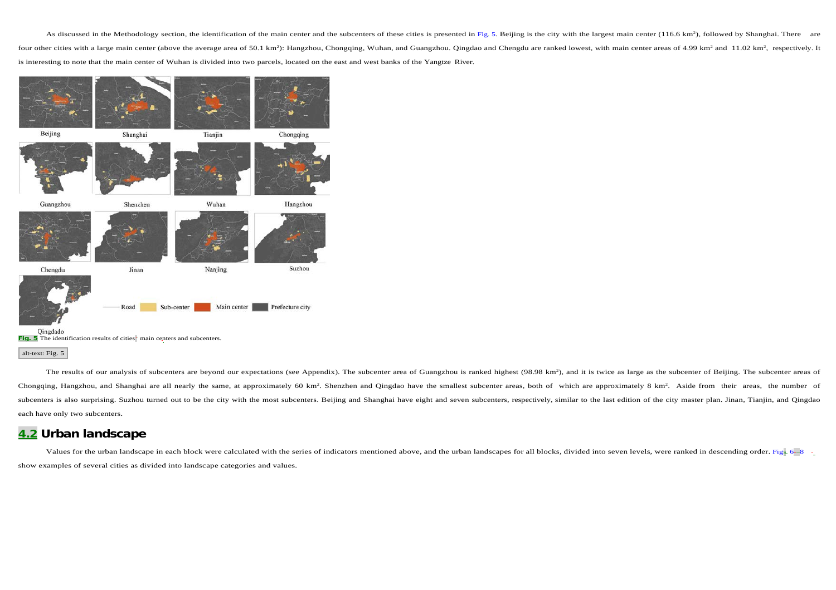As discussed in the Methodology section, the identification of the main center and the subcenters of these cities is presented in Fig. 5. Beijing is the city with the largest main center (116.6 km<sup>2</sup>), followed by Shanghai four other cities with a large main center (above the average area of 50.1 km<sup>2</sup>): Hangzhou, Chongqing, Wuhan, and Guangzhou. Qingdao and Chengdu are ranked lowest, with main center areas of 4.99 km<sup>2</sup> and 11.02 km<sup>2</sup>, res is interesting to note that the main center of Wuhan is divided into two parcels, located on the east and west banks of the Yangtze River.



alt-text: Fig. 5

The results of our analysis of subcenters are beyond our expectations (see Appendix). The subcenter area of Guangzhou is ranked highest (98.98 km<sup>2</sup>), and it is twice as large as the subcenter of Beijing. The subcenter are Chongqing, Hangzhou, and Shanghai are all nearly the same, at approximately 60 km<sup>2</sup>. Shenzhen and Qingdao have the smallest subcenter areas, both of which are approximately 8 km<sup>2</sup>. Aside from their areas, the number of subcenters is also surprising. Suzhou turned out to be the city with the most subcenters. Beijing and Shanghai have eight and seven subcenters, respectively, similar to the last edition of the city master plan. Jinan, Tian each have only two subcenters.

## **4.2 Urban landscape**

Values for the urban landscape in each block were calculated with the series of indicators mentioned above, and the urban landscapes for all blocks, divided into seven levels, were ranked in descending order. Figs. 6–8 show examples of several cities as divided into landscape categories and values.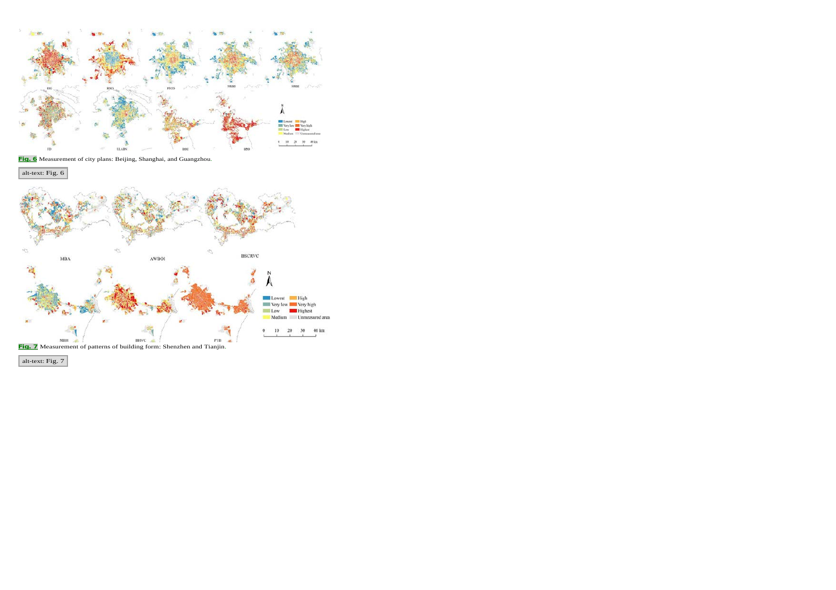

**Fig. 6** Measurement of city plans: Beijing, Shanghai, and Guangzhou.





alt-text: Fig. 7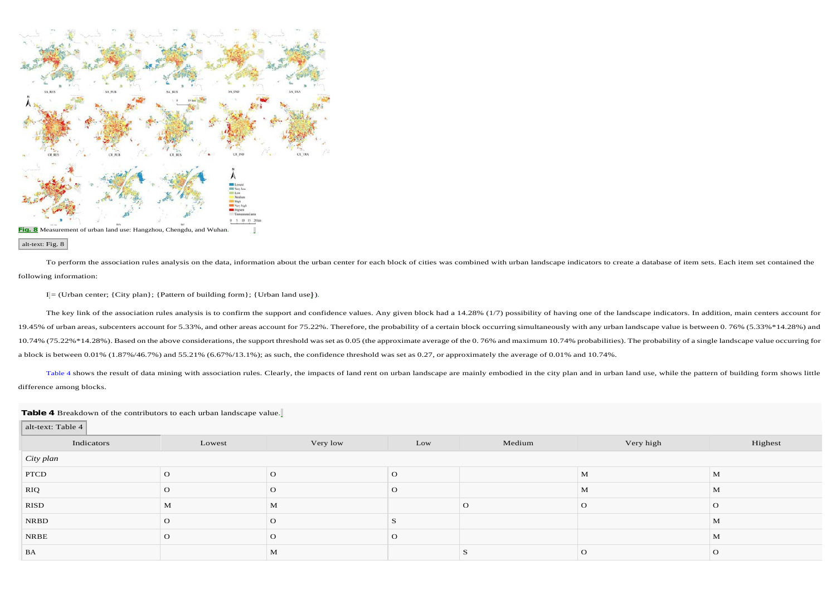

### alt-text: Fig. 8

 $\sqrt{\det_{\text{avt}} \cdot \text{Table 4}}$ 

To perform the association rules analysis on the data, information about the urban center for each block of cities was combined with urban landscape indicators to create a database of item sets. Each item set contained the following information:

 $I = (Urban center; {City plan}; {Pattern of building form}; {Urban land use}).$ 

The key link of the association rules analysis is to confirm the support and confidence values. Any given block had a 14.28% (1/7) possibility of having one of the landscape indicators. In addition, main centers account fo 19.45% of urban areas, subcenters account for 5.33%, and other areas account for 75.22%. Therefore, the probability of a certain block occurring simultaneously with any urban landscape value is between 0.76% (5.33%\*14.28%) 10.74% (75.22%\*14.28%). Based on the above considerations, the support threshold was set as 0.05 (the approximate average of the 0.76% and maximum 10.74% probabilities). The probability of a single landscape value occurrin a block is between 0.01% (1.87%/46.7%) and 55.21% (6.67%/13.1%); as such, the confidence threshold was set as 0.27, or approximately the average of 0.01% and 10.74%.

Table 4 shows the result of data mining with association rules. Clearly, the impacts of land rent on urban landscape are mainly embodied in the city plan and in urban land use, while the pattern of building form shows litt difference among blocks.

### **Table 4** Breakdown of the contributors to each urban landscape value.

| $ $ an-way. Table $\tau$ |  |          |          |          |        |           |         |
|--------------------------|--|----------|----------|----------|--------|-----------|---------|
| Indicators               |  | Lowest   | Very low | Low      | Medium | Very high | Highest |
| City plan                |  |          |          |          |        |           |         |
| PTCD                     |  |          |          | О        |        | M         | M       |
| <b>RIQ</b>               |  | $\Omega$ |          | $\Omega$ |        | M         | M       |
| <b>RISD</b>              |  | M        | M        |          |        | $\Omega$  |         |
| <b>NRBD</b>              |  |          |          |          |        |           | M       |
| <b>NRBE</b>              |  | $\Omega$ |          | $\Omega$ |        |           | M       |
| BA                       |  |          | M        |          |        |           |         |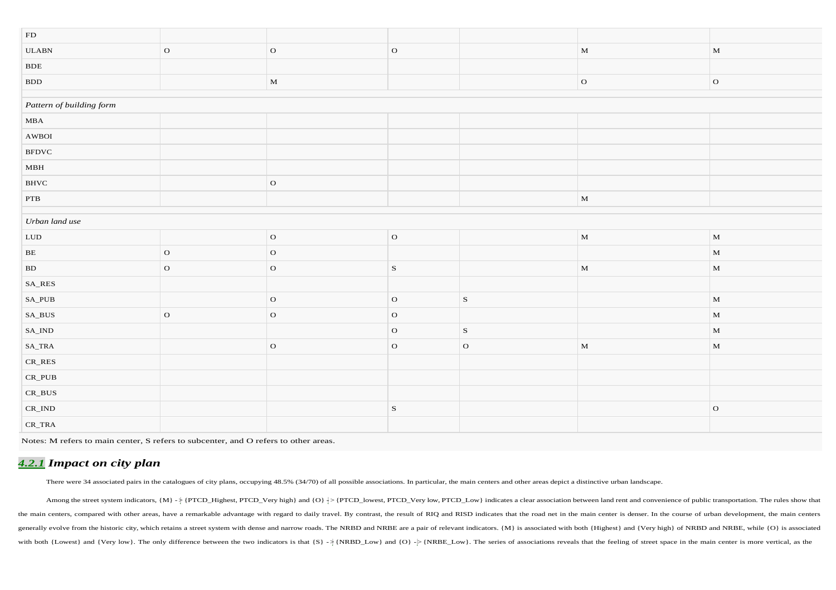| ${\rm FD}$                      |                |             |           |           |             |              |
|---------------------------------|----------------|-------------|-----------|-----------|-------------|--------------|
| <b>ULABN</b>                    | $\circ$        | $\,$ O      | $\rm{O}$  |           | $\mathbf M$ | $\mathbf{M}$ |
| ${\bf BDE}$                     |                |             |           |           |             |              |
| ${\mathop{\rm BDD}}$            |                | $\mathbf M$ |           |           | ${\rm O}$   | $\circ$      |
|                                 |                |             |           |           |             |              |
| Pattern of building form        |                |             |           |           |             |              |
| $_{\rm MBA}$                    |                |             |           |           |             |              |
| $\operatorname{AWBOI}$          |                |             |           |           |             |              |
| $\operatorname{BFDVC}$          |                |             |           |           |             |              |
| $\operatorname{\mathbf{MBH}}$   |                |             |           |           |             |              |
| $\operatorname{BHVC}$           |                | $\rm{O}$    |           |           |             |              |
| ${\rm PTB}$                     |                |             |           |           | $\mathbf M$ |              |
|                                 |                |             |           |           |             |              |
| Urban land use                  |                |             |           |           |             |              |
| ${\rm LUD}$                     |                | ${\rm O}$   | $\,$ O    |           | $\mathbf M$ | $\mathbf M$  |
| $\mathbf{B}\mathbf{E}$          | $\circ$        | $\rm{O}$    |           |           |             | $\mathbf M$  |
| ${\bf BD}$                      | $\overline{O}$ | $\,$ O      | ${\bf S}$ |           | $\mathbf M$ | $\mathbf M$  |
| $\ensuremath{\mathrm{SA\_RES}}$ |                |             |           |           |             |              |
| $\ensuremath{\mathrm{SA\_PUB}}$ |                | $\rm{O}$    | $\,$ O    | ${\bf S}$ |             | $\mathbf{M}$ |
| $\ensuremath{\mathrm{SA\_BUS}}$ | $\mathbf O$    | $\rm{O}$    | ${\rm O}$ |           |             | $\mathbf M$  |
| $\ensuremath{\mathrm{SA\_IND}}$ |                |             | $\,$ O    | $\,$ s    |             | $\mathbf M$  |
| $\ensuremath{\mathrm{SA\_TRA}}$ |                | $\rm{O}$    | $\rm{O}$  | $\circ$   | $\mathbf M$ | $\mathbf M$  |
| $\mbox{CR\_RES}$                |                |             |           |           |             |              |
| $\text{CR\_PUB}$                |                |             |           |           |             |              |
| $\text{CR\_BUS}$                |                |             |           |           |             |              |
| $\text{CR\_IND}$                |                |             | ${\bf S}$ |           |             | $\circ$      |
| $\text{CR\_TRA}$                |                |             |           |           |             |              |
|                                 |                |             |           |           |             |              |

Notes: M refers to main center, S refers to subcenter, and O refers to other areas.

## *4.2.1 Impact on city plan*

There were 34 associated pairs in the catalogues of city plans, occupying 48.5% (34/70) of all possible associations. In particular, the main centers and other areas depict a distinctive urban landscape.

Among the street system indicators, {M} -> {PTCD\_Highest, PTCD\_Very high} and {O} +> {PTCD\_lowest, PTCD\_Very low, PTCD\_Low} indicates a clear association between land rent and convenience of public transportation. The rule the main centers, compared with other areas, have a remarkable advantage with regard to daily travel. By contrast, the result of RIQ and RISD indicates that the road net in the main center is denser. In the course of urban generally evolve from the historic city, which retains a street system with dense and narrow roads. The NRBD and NRBE are a pair of relevant indicators. (M) is associated with both {Highest} and {Very high} of NRBD and NRB with both {Lowest} and {Very low}. The only difference between the two indicators is that {S} -> {NRBD\_Low} and {O} -> {NRBE\_Low}. The series of associations reveals that the feeling of street space in the main center is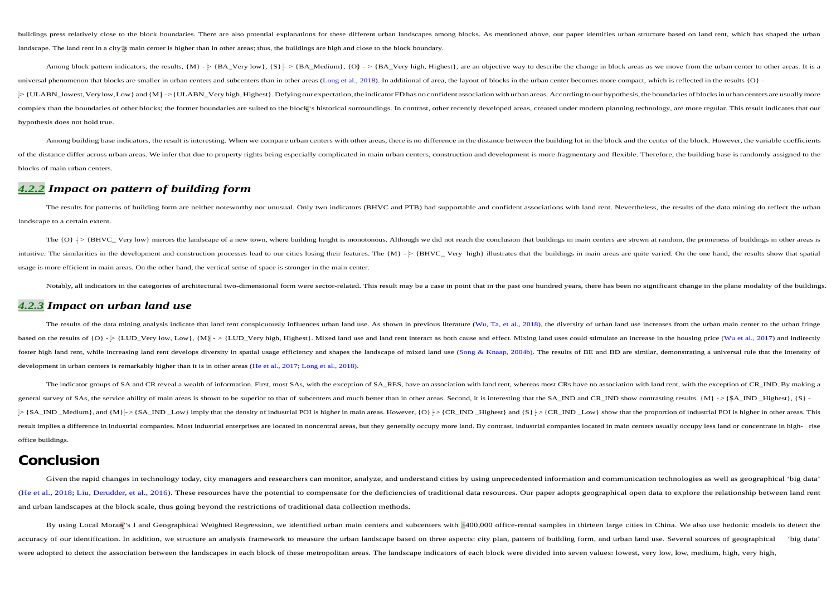buildings press relatively close to the block boundaries. There are also potential explanations for these different urban landscapes among blocks. As mentioned above, our paper identifies urban structure based on land rent landscape. The land rent in a city's main center is higher than in other areas; thus, the buildings are high and close to the block boundary.

Among block pattern indicators, the results,  $\{M\}$  >  $\{BA\_Very\ low\}$ ,  $\{S\}$  >  $\{BA\_ Medium\}$ ,  $\{O\}$  >  $\{BA\_ Very\ high, Higher\}$ , are an objective way to describe the change in block areas as we move from the urban center to other areas. universal phenomenon that blocks are smaller in urban centers and subcenters than in other areas (Long et al., 2018). In additional of area, the layout of blocks in the urban center becomes more compact, which is reflecte  $>$  {ULABN lowest, Verylow, Low} and {M} -> {ULABN Very high, Highest}. Defying our expectation, the indicator FD has no confident association with urban areas. According to our hypothesis, the boundaries of blocks in urb complex than the boundaries of other blocks; the former boundaries are suited to the block 's historical surroundings. In contrast, other recently developed areas, created under modern planning technology, are more regular hypothesis does not hold true.

Among building base indicators, the result is interesting. When we compare urban centers with other areas, there is no difference in the distance between the building lot in the block and the center of the block. However, of the distance differ across urban areas. We infer that due to property rights being especially complicated in main urban centers, construction and development is more fragmentary and flexible. Therefore, the building bas blocks of main urban centers.

### *4.2.2 Impact on pattern of building form*

The results for patterns of building form are neither noteworthy nor unusual. Only two indicators (BHVC and PTB) had supportable and confident associations with land rent. Nevertheless, the results of the data mining do re landscape to a certain extent.

The  ${O}$  >  $\geq$  BHVC Very low} mirrors the landscape of a new town, where building height is monotonous. Although we did not reach the conclusion that buildings in main centers are strewn at random, the primeness of bui intuitive. The similarities in the development and construction processes lead to our cities losing their features. The  $\{M\}$  -  $\triangleright$  {BHVC Very high} illustrates that the buildings in main areas are quite varied. On t usage is more efficient in main areas. On the other hand, the vertical sense of space is stronger in the main center.

Notably, all indicators in the categories of architectural two-dimensional form were sector-related. This result may be a case in point that in the past one hundred years, there has been no significant change in the plane

### *4.2.3 Impact on urban land use*

The results of the data mining analysis indicate that land rent conspicuously influences urban land use. As shown in previous literature (Wu, Ta, et al., 2018), the diversity of urban land use increases from the urban main based on the results of  $\{O\}$  -  $\geq$  {LUD Very low, Low},  $\{M\}$  - > {LUD Very high, Highest}. Mixed land use and land rent interact as both cause and effect. Mixing land uses could stimulate an increase in the housin foster high land rent, while increasing land rent develops diversity in spatial usage efficiency and shapes the landscape of mixed land use (Song & Knaap, 2004b). The results of BE and BD are similar, demonstrating a unive development in urban centers is remarkably higher than it is in other areas (He et al., 2017; Long et al., 2018).

The indicator groups of SA and CR reveal a wealth of information. First, most SAs, with the exception of SA\_RES, have an association with land rent, whereas most CRs have no association with land rent, with the exception o general survey of SAs, the service ability of main areas is shown to be superior to that of subcenters and much better than in other areas. Second, it is interesting that the SA IND and CR IND show contrasting results.  $\$  $\vert S(A|ND)$  Medium}, and {M} $\vert S(A|ND)$  = {SA IND Low} imply that the density of industrial POI is higher in main areas. However, {O} $\vert S(A|ND)$  {CR IND Highest} and {S}} = {CR IND Low} show that the proportion of industrial PO result implies a difference in industrial companies. Most industrial enterprises are located in noncentral areas, but they generally occupy more land. By contrast, industrial companies located in main centers usually occup office buildings.

## **Conclusion**

Given the rapid changes in technology today, city managers and researchers can monitor, analyze, and understand cities by using unprecedented information and communication technologies as well as geographical 'big data' (He et al., 2018; Liu, Derudder, et al., 2016). These resources have the potential to compensate for the deficiencies of traditional data resources. Our paper adopts geographical open data to explore the relationship betwe and urban landscapes at the block scale, thus going beyond the restrictions of traditional data collection methods.

By using Local Moran's I and Geographical Weighted Regression, we identified urban main centers and subcenters with  $\geq$ 400,000 office-rental samples in thirteen large cities in China. We also use hedonic models to detect accuracy of our identification. In addition, we structure an analysis framework to measure the urban landscape based on three aspects: city plan, pattern of building form, and urban land use. Several sources of geographica were adopted to detect the association between the landscapes in each block of these metropolitan areas. The landscape indicators of each block were divided into seven values: lowest, very low, low, medium, high, very high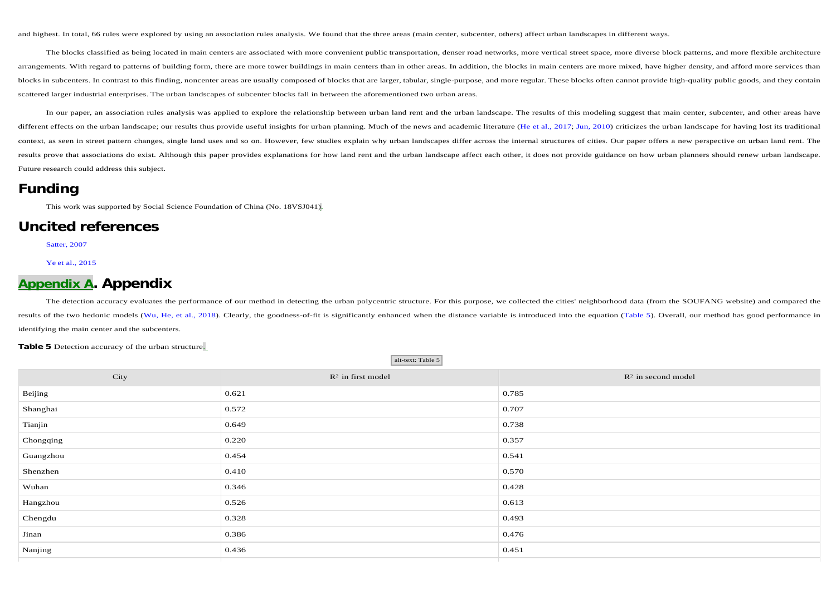and highest. In total, 66 rules were explored by using an association rules analysis. We found that the three areas (main center, subcenter, others) affect urban landscapes in different ways.

The blocks classified as being located in main centers are associated with more convenient public transportation, denser road networks, more vertical street space, more diverse block patterns, and more flexible architectur arrangements. With regard to patterns of building form, there are more tower buildings in main centers than in other areas. In addition, the blocks in main centers are more mixed, have higher density, and afford more servi blocks in subcenters. In contrast to this finding, noncenter areas are usually composed of blocks that are larger, tabular, single-purpose, and more regular. These blocks often cannot provide high-quality public goods, and scattered larger industrial enterprises. The urban landscapes of subcenter blocks fall in between the aforementioned two urban areas.

In our paper, an association rules analysis was applied to explore the relationship between urban land rent and the urban landscape. The results of this modeling suggest that main center, subcenter, and other areas have different effects on the urban landscape; our results thus provide useful insights for urban planning. Much of the news and academic literature (He et al., 2017; Jun, 2010) criticizes the urban landscape for having lost it context, as seen in street pattern changes, single land uses and so on. However, few studies explain why urban landscapes differ across the internal structures of cities. Our paper offers a new perspective on urban land re results prove that associations do exist. Although this paper provides explanations for how land rent and the urban landscape affect each other, it does not provide guidance on how urban planners should renew urban landsca Future research could address this subject.

## **Funding**

This work was supported by Social Science Foundation of China (No. 18VSJ041).

### **Uncited references**

Satter, 2007

Ye et al., 2015

## **Appendix A. Appendix**

The detection accuracy evaluates the performance of our method in detecting the urban polycentric structure. For this purpose, we collected the cities' neighborhood data (from the SOUFANG website) and compared the results of the two hedonic models (Wu, He, et al., 2018). Clearly, the goodness-of-fit is significantly enhanced when the distance variable is introduced into the equation (Table 5). Overall, our method has good performanc identifying the main center and the subcenters.

alt-text: Table 5

**Table 5** Detection accuracy of the urban structure.

| $R2$ in first model | $R2$ in second model                                        |
|---------------------|-------------------------------------------------------------|
| 0.621               | 0.785                                                       |
| 0.572               | 0.707                                                       |
| 0.649               | 0.738                                                       |
| 0.220               | 0.357                                                       |
| 0.454               | 0.541                                                       |
| 0.410               | 0.570                                                       |
| 0.346               | 0.428                                                       |
| 0.526               | 0.613                                                       |
| 0.328               | 0.493                                                       |
| 0.386               | 0.476                                                       |
| 0.436               | 0.451                                                       |
|                     | the control of the control of the control of the control of |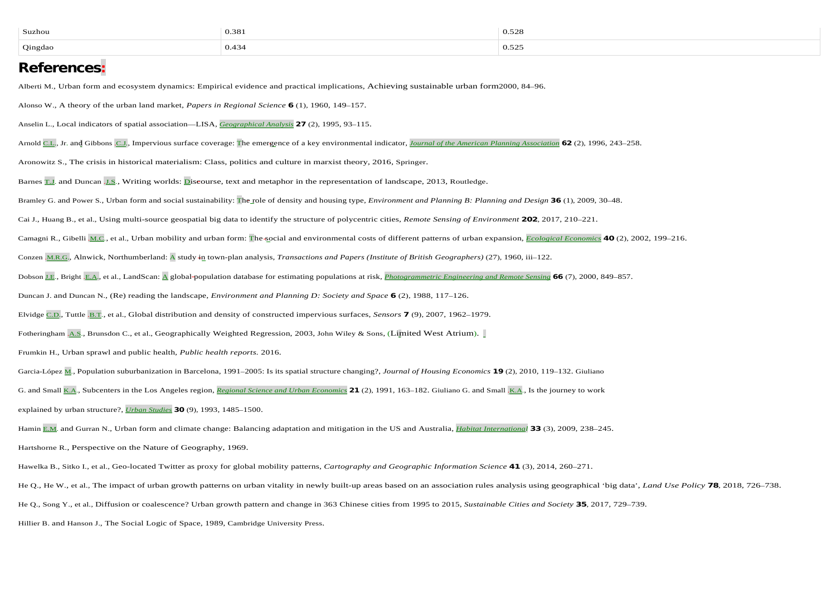| Suzhou  | $0.381\,$ | 0.528 |
|---------|-----------|-------|
| Qingdao | 0.434     | 0.525 |

# **References:**

Alberti M., Urban form and ecosystem dynamics: Empirical evidence and practical implications, Achieving sustainable urban form2000, 84–96.

Alonso W., A theory of the urban land market, *Papers in Regional Science* **6** (1), 1960, 149–157.

Anselin L., Local indicators of spatial association—LISA, *Geographical Analysis* **27** (2), 1995, 93–115.

Arnold C.L., Jr. and Gibbons .C.J., Impervious surface coverage: The emergence of a key environmental indicator, *Journal of the American Planning Association* **62** (2), 1996, 243–258.

Aronowitz S., The crisis in historical materialism: Class, politics and culture in marxist theory, 2016, Springer.

Barnes T.J. and Duncan J.S., Writing worlds: Diseourse, text and metaphor in the representation of landscape, 2013, Routledge.

Bramley G. and Power S., Urban form and social sustainability: The role of density and housing type, *Environment and Planning B: Planning and Design* **36** (1), 2009, 30–48.

Cai J., Huang B., et al., Using multi-source geospatial big data to identify the structure of polycentric cities, *Remote Sensing of Environment* **202**, 2017, 210–221.

Camagni R., Gibelli .M.C., et al., Urban mobility and urban form: The social and environmental costs of different patterns of urban expansion, *Ecological Economics* **40** (2), 2002, 199–216.

Conzen .M.R.G., Alnwick, Northumberland: A study in town-plan analysis, *Transactions and Papers (Institute of British Geographers)* (27), 1960, iii–122.

Dobson J.E., Bright .E.A., et al., LandScan: A global population database for estimating populations at risk, *Photogrammetric Engineering and Remote Sensing* **66** (7), 2000, 849–857.

Duncan J. and Duncan N., (Re) reading the landscape, *Environment and Planning D: Society and Space* **6** (2), 1988, 117–126.

Elvidge C.D., Tuttle .B.T., et al., Global distribution and density of constructed impervious surfaces, *Sensors* **7** (9), 2007, 1962–1979.

Fotheringham .A.S., Brunsdon C., et al., Geographically Weighted Regression, 2003, John Wiley & Sons, (Limited West Atrium).

Frumkin H., Urban sprawl and public health, *Public health reports.* 2016.

Garcia-López M., Population suburbanization in Barcelona, 1991–2005: Is its spatial structure changing?, *Journal of Housing Economics* **19** (2), 2010, 119–132. Giuliano

G. and Small K.A., Subcenters in the Los Angeles region, *Regional Science and Urban Economics* **21** (2), 1991, 163–182. Giuliano G. and Small .K.A., Is the journey to work

explained by urban structure?, *Urban Studies* **30** (9), 1993, 1485–1500.

Hamin E.M. and Gurran N., Urban form and climate change: Balancing adaptation and mitigation in the US and Australia, *Habitat International* **33** (3), 2009, 238–245.

Hartshorne R., Perspective on the Nature of Geography, 1969.

Hawelka B., Sitko I., et al., Geo-located Twitter as proxy for global mobility patterns, *Cartography and Geographic Information Science* **41** (3), 2014, 260–271.

He Q., He W., et al., The impact of urban growth patterns on urban vitality in newly built-up areas based on an association rules analysis using geographical 'big data', *Land Use Policy* **78**, 2018, 726–738.

He Q., Song Y., et al., Diffusion or coalescence? Urban growth pattern and change in 363 Chinese cities from 1995 to 2015, *Sustainable Cities and Society* **35**, 2017, 729–739.

Hillier B. and Hanson J., The Social Logic of Space, 1989, Cambridge University Press.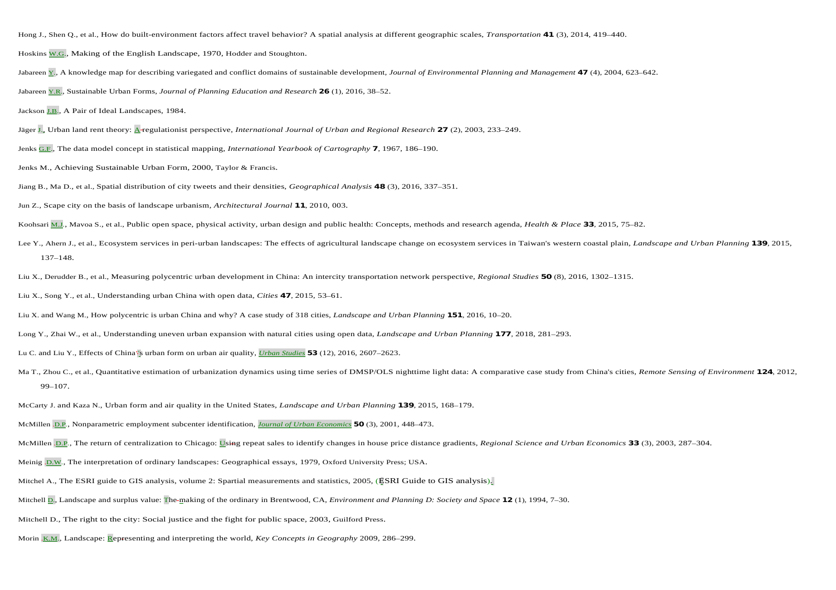Hong J., Shen Q., et al., How do built-environment factors affect travel behavior? A spatial analysis at different geographic scales, *Transportation* **41** (3), 2014, 419–440.

Hoskins W.G., Making of the English Landscape, 1970, Hodder and Stoughton.

- Jabareen Y., A knowledge map for describing variegated and conflict domains of sustainable development, *Journal of Environmental Planning and Management* **47** (4), 2004, 623–642.
- Jabareen Y.R., Sustainable Urban Forms, *Journal of Planning Education and Research* **26** (1), 2016, 38–52.
- Jackson J.B., A Pair of Ideal Landscapes, 1984.
- Jäger J., Urban land rent theory: A regulationist perspective, *International Journal of Urban and Regional Research* **27** (2), 2003, 233–249.
- Jenks G.F., The data model concept in statistical mapping, *International Yearbook of Cartography* **7**, 1967, 186–190.
- Jenks M., Achieving Sustainable Urban Form, 2000, Taylor & Francis.
- Jiang B., Ma D., et al., Spatial distribution of city tweets and their densities, *Geographical Analysis* **48** (3), 2016, 337–351.
- Jun Z., Scape city on the basis of landscape urbanism, *Architectural Journal* **11**, 2010, 003.
- Koohsari M.J., Mavoa S., et al., Public open space, physical activity, urban design and public health: Concepts, methods and research agenda, *Health & Place* **33**, 2015, 75–82.
- Lee Y., Ahern J., et al., Ecosystem services in peri-urban landscapes: The effects of agricultural landscape change on ecosystem services in Taiwan's western coastal plain, *Landscape and Urban Planning* 139, 2015, 137–148.
- Liu X., Derudder B., et al., Measuring polycentric urban development in China: An intercity transportation network perspective, *Regional Studies* **50** (8), 2016, 1302–1315.
- Liu X., Song Y., et al., Understanding urban China with open data, *Cities* **47**, 2015, 53–61.
- Liu X. and Wang M., How polycentric is urban China and why? A case study of 318 cities, *Landscape and Urban Planning* **151**, 2016, 10–20.
- Long Y., Zhai W., et al., Understanding uneven urban expansion with natural cities using open data, *Landscape and Urban Planning* **177**, 2018, 281–293.
- Lu C. and Liu Y., Effects of China''s urban form on urban air quality, *Urban Studies* **53** (12), 2016, 2607–2623.
- Ma T., Zhou C., et al., Quantitative estimation of urbanization dynamics using time series of DMSP/OLS nighttime light data: A comparative case study from China's cities, Remote Sensing of Environment 124, 2012, 99–107.
- McCarty J. and Kaza N., Urban form and air quality in the United States, *Landscape and Urban Planning* **139**, 2015, 168–179.
- McMillen .D.P., Nonparametric employment subcenter identification, *Journal of Urban Economics* **50** (3), 2001, 448–473.
- McMillen .D.P., The return of centralization to Chicago: Using repeat sales to identify changes in house price distance gradients, *Regional Science and Urban Economics* **33** (3), 2003, 287–304.
- Meinig .D.W., The interpretation of ordinary landscapes: Geographical essays, 1979, Oxford University Press; USA.
- Mitchel A., The ESRI guide to GIS analysis, volume 2: Spartial measurements and statistics, 2005, (ESRI Guide to GIS analysis).
- Mitchell D., Landscape and surplus value: The making of the ordinary in Brentwood, CA, *Environment and Planning D: Society and Space* **12** (1), 1994, 7–30.
- Mitchell D., The right to the city: Social justice and the fight for public space, 2003, Guilford Press.
- Morin .K.M., Landscape: Representing and interpreting the world, *Key Concepts in Geography* 2009, 286–299.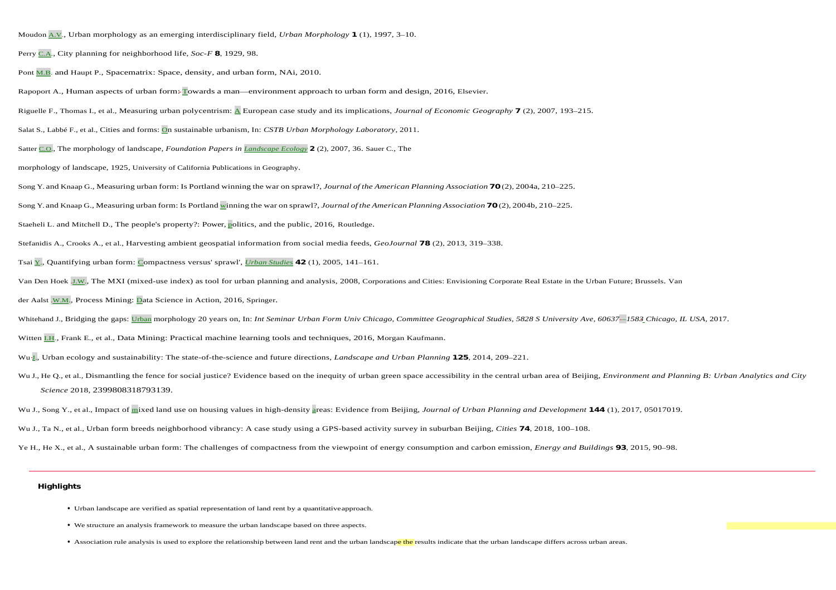Moudon A.V., Urban morphology as an emerging interdisciplinary field, *Urban Morphology* **1** (1), 1997, 3–10.

Perry C.A., City planning for neighborhood life, *Soc-F* **8**, 1929, 98.

Pont M.B. and Haupt P., Spacematrix: Space, density, and urban form, NAi, 2010.

Rapoport A., Human aspects of urban form: Towards a man—environment approach to urban form and design, 2016, Elsevier.

Riguelle F., Thomas I., et al., Measuring urban polycentrism: A European case study and its implications, *Journal of Economic Geography* **7** (2), 2007, 193–215.

Salat S., Labbé F., et al., Cities and forms: On sustainable urbanism, In: *CSTB Urban Morphology Laboratory,* 2011.

Satter C.O., The morphology of landscape, *Foundation Papers in Landscape Ecology* **2** (2), 2007, 36. Sauer C., The

morphology of landscape, 1925, University of California Publications in Geography.

Song Y. and Knaap G., Measuring urban form: Is Portland winning the war on sprawl?, *Journal of the American Planning Association* **70** (2), 2004a, 210–225.

Song Y. and Knaap G., Measuring urban form: Is Portland winning the war on sprawl?, *Journal of the American Planning Association* **70** (2), 2004b, 210–225.

Staeheli L. and Mitchell D., The people's property?: Power, politics, and the public, 2016, Routledge.

Stefanidis A., Crooks A., et al., Harvesting ambient geospatial information from social media feeds, *GeoJournal* **78** (2), 2013, 319–338.

Tsai Y., Quantifying urban form: Compactness versus' sprawl', *Urban Studies* **42** (1), 2005, 141–161.

Van Den Hoek J.W., The MXI (mixed-use index) as tool for urban planning and analysis, 2008, Corporations and Cities: Envisioning Corporate Real Estate in the Urban Future; Brussels. Van

der Aalst .W.M., Process Mining: Data Science in Action, 2016, Springer.

Whitehand J., Bridging the gaps: Urban morphology 20 years on, In: *Int Seminar Urban Form Univ Chicago, Committee Geographical Studies, 5828 S University Ave, 60637‐–1583 Chicago, IL USA,* 2017.

Witten I.H., Frank E., et al., Data Mining: Practical machine learning tools and techniques, 2016, Morgan Kaufmann.

Wu J., Urban ecology and sustainability: The state-of-the-science and future directions, *Landscape and Urban Planning* **125**, 2014, 209–221.

Wu J., He Q., et al., Dismantling the fence for social justice? Evidence based on the inequity of urban green space accessibility in the central urban area of Beijing, *Environment and Planning B: Urban Analytics and City Science* 2018, 2399808318793139.

Wu J., Song Y., et al., Impact of mixed land use on housing values in high-density areas: Evidence from Beijing, *Journal of Urban Planning and Development* **144** (1), 2017, 05017019.

Wu J., Ta N., et al., Urban form breeds neighborhood vibrancy: A case study using a GPS-based activity survey in suburban Beijing, *Cities* **74**, 2018, 100–108.

Ye H., He X., et al., A sustainable urban form: The challenges of compactness from the viewpoint of energy consumption and carbon emission, *Energy and Buildings* **93**, 2015, 90–98.

#### **Highlights**

- Urban landscape are verified as spatial representation of land rent by a quantitative approach.
- **•** We structure an analysis framework to measure the urban landscape based on three aspects.
- Association rule analysis is used to explore the relationship between land rent and the urban landscape the results indicate that the urban landscape differs across urban areas.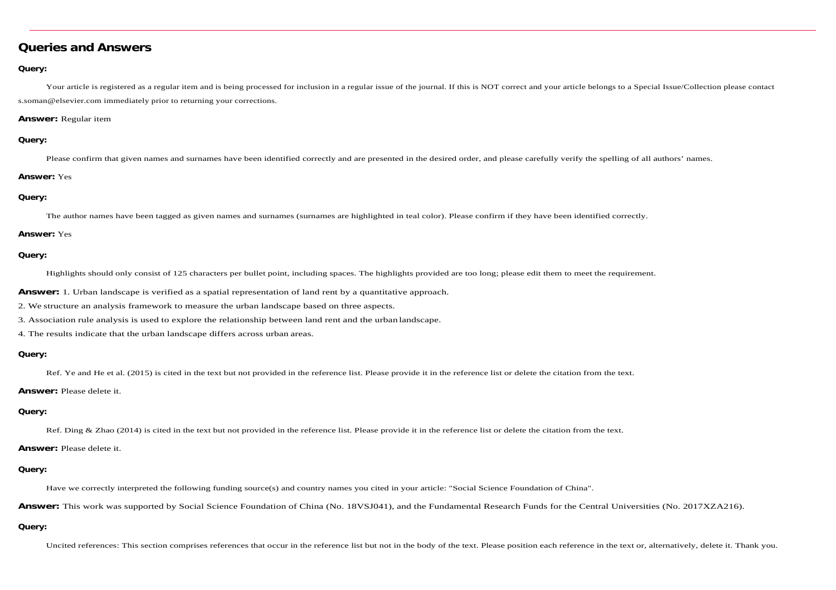### **Queries and Answers**

### **Query:**

Your article is registered as a regular item and is being processed for inclusion in a regular issue of the journal. If this is NOT correct and your article belongs to a Special Issue/Collection please contact [s.soman@elsevier.com i](mailto:s.soman@elsevier.com)mmediately prior to returning your corrections.

#### **Answer:** Regular item

### **Query:**

Please confirm that given names and surnames have been identified correctly and are presented in the desired order, and please carefully verify the spelling of all authors' names.

### **Answer:** Yes

### **Query:**

The author names have been tagged as given names and surnames (surnames are highlighted in teal color). Please confirm if they have been identified correctly.

### **Answer:** Yes

### **Query:**

Highlights should only consist of 125 characters per bullet point, including spaces. The highlights provided are too long; please edit them to meet the requirement.

**Answer:** 1. Urban landscape is verified as a spatial representation of land rent by a quantitative approach.

2. We structure an analysis framework to measure the urban landscape based on three aspects.

3. Association rule analysis is used to explore the relationship between land rent and the urban landscape.

4. The results indicate that the urban landscape differs across urban areas.

### **Query:**

Ref. Ye and He et al. (2015) is cited in the text but not provided in the reference list. Please provide it in the reference list or delete the citation from the text.

#### **Answer:** Please delete it.

### **Query:**

Ref. Ding & Zhao (2014) is cited in the text but not provided in the reference list. Please provide it in the reference list or delete the citation from the text.

### **Answer:** Please delete it.

### **Query:**

Have we correctly interpreted the following funding source(s) and country names you cited in your article: "Social Science Foundation of China".

**Answer:** This work was supported by Social Science Foundation of China (No. 18VSJ041), and the Fundamental Research Funds for the Central Universities (No. 2017XZA216).

### **Query:**

Uncited references: This section comprises references that occur in the reference list but not in the body of the text. Please position each reference in the text or, alternatively, delete it. Thank you.